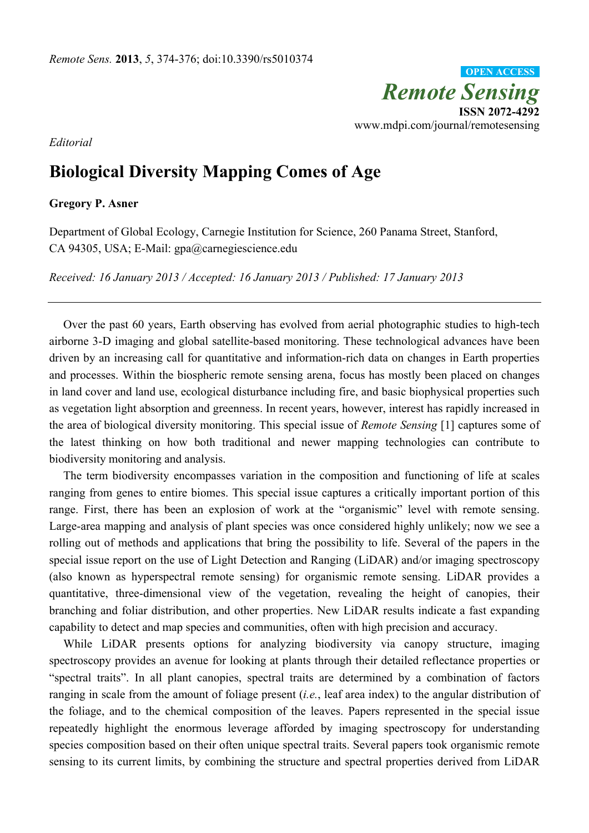*Remote Sensing*  **ISSN 2072-4292**  www.mdpi.com/journal/remotesensing **OPEN ACCESS**

*Editorial* 

## **Biological Diversity Mapping Comes of Age**

**Gregory P. Asner** 

Department of Global Ecology, Carnegie Institution for Science, 260 Panama Street, Stanford, CA 94305, USA; E-Mail: gpa@carnegiescience.edu

*Received: 16 January 2013 / Accepted: 16 January 2013 / Published: 17 January 2013* 

Over the past 60 years, Earth observing has evolved from aerial photographic studies to high-tech airborne 3-D imaging and global satellite-based monitoring. These technological advances have been driven by an increasing call for quantitative and information-rich data on changes in Earth properties and processes. Within the biospheric remote sensing arena, focus has mostly been placed on changes in land cover and land use, ecological disturbance including fire, and basic biophysical properties such as vegetation light absorption and greenness. In recent years, however, interest has rapidly increased in the area of biological diversity monitoring. This special issue of *Remote Sensing* [1] captures some of the latest thinking on how both traditional and newer mapping technologies can contribute to biodiversity monitoring and analysis.

The term biodiversity encompasses variation in the composition and functioning of life at scales ranging from genes to entire biomes. This special issue captures a critically important portion of this range. First, there has been an explosion of work at the "organismic" level with remote sensing. Large-area mapping and analysis of plant species was once considered highly unlikely; now we see a rolling out of methods and applications that bring the possibility to life. Several of the papers in the special issue report on the use of Light Detection and Ranging (LiDAR) and/or imaging spectroscopy (also known as hyperspectral remote sensing) for organismic remote sensing. LiDAR provides a quantitative, three-dimensional view of the vegetation, revealing the height of canopies, their branching and foliar distribution, and other properties. New LiDAR results indicate a fast expanding capability to detect and map species and communities, often with high precision and accuracy.

While LiDAR presents options for analyzing biodiversity via canopy structure, imaging spectroscopy provides an avenue for looking at plants through their detailed reflectance properties or "spectral traits". In all plant canopies, spectral traits are determined by a combination of factors ranging in scale from the amount of foliage present (*i.e.*, leaf area index) to the angular distribution of the foliage, and to the chemical composition of the leaves. Papers represented in the special issue repeatedly highlight the enormous leverage afforded by imaging spectroscopy for understanding species composition based on their often unique spectral traits. Several papers took organismic remote sensing to its current limits, by combining the structure and spectral properties derived from LiDAR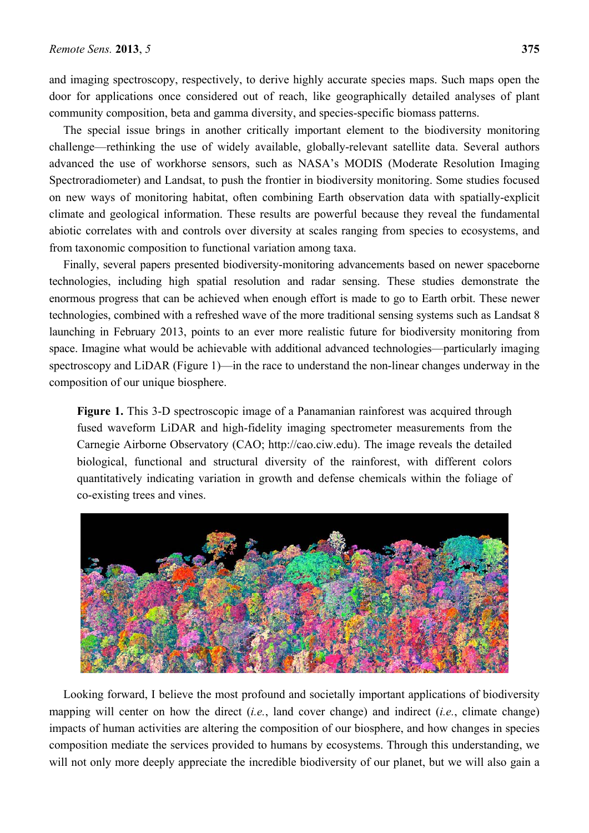and imaging spectroscopy, respectively, to derive highly accurate species maps. Such maps open the door for applications once considered out of reach, like geographically detailed analyses of plant community composition, beta and gamma diversity, and species-specific biomass patterns.

The special issue brings in another critically important element to the biodiversity monitoring challenge—rethinking the use of widely available, globally-relevant satellite data. Several authors advanced the use of workhorse sensors, such as NASA's MODIS (Moderate Resolution Imaging Spectroradiometer) and Landsat, to push the frontier in biodiversity monitoring. Some studies focused on new ways of monitoring habitat, often combining Earth observation data with spatially-explicit climate and geological information. These results are powerful because they reveal the fundamental abiotic correlates with and controls over diversity at scales ranging from species to ecosystems, and from taxonomic composition to functional variation among taxa.

Finally, several papers presented biodiversity-monitoring advancements based on newer spaceborne technologies, including high spatial resolution and radar sensing. These studies demonstrate the enormous progress that can be achieved when enough effort is made to go to Earth orbit. These newer technologies, combined with a refreshed wave of the more traditional sensing systems such as Landsat 8 launching in February 2013, points to an ever more realistic future for biodiversity monitoring from space. Imagine what would be achievable with additional advanced technologies—particularly imaging spectroscopy and LiDAR (Figure 1)—in the race to understand the non-linear changes underway in the composition of our unique biosphere.

**Figure 1.** This 3-D spectroscopic image of a Panamanian rainforest was acquired through fused waveform LiDAR and high-fidelity imaging spectrometer measurements from the Carnegie Airborne Observatory (CAO; http://cao.ciw.edu). The image reveals the detailed biological, functional and structural diversity of the rainforest, with different colors quantitatively indicating variation in growth and defense chemicals within the foliage of co-existing trees and vines.



Looking forward, I believe the most profound and societally important applications of biodiversity mapping will center on how the direct (*i.e.*, land cover change) and indirect (*i.e.*, climate change) impacts of human activities are altering the composition of our biosphere, and how changes in species composition mediate the services provided to humans by ecosystems. Through this understanding, we will not only more deeply appreciate the incredible biodiversity of our planet, but we will also gain a